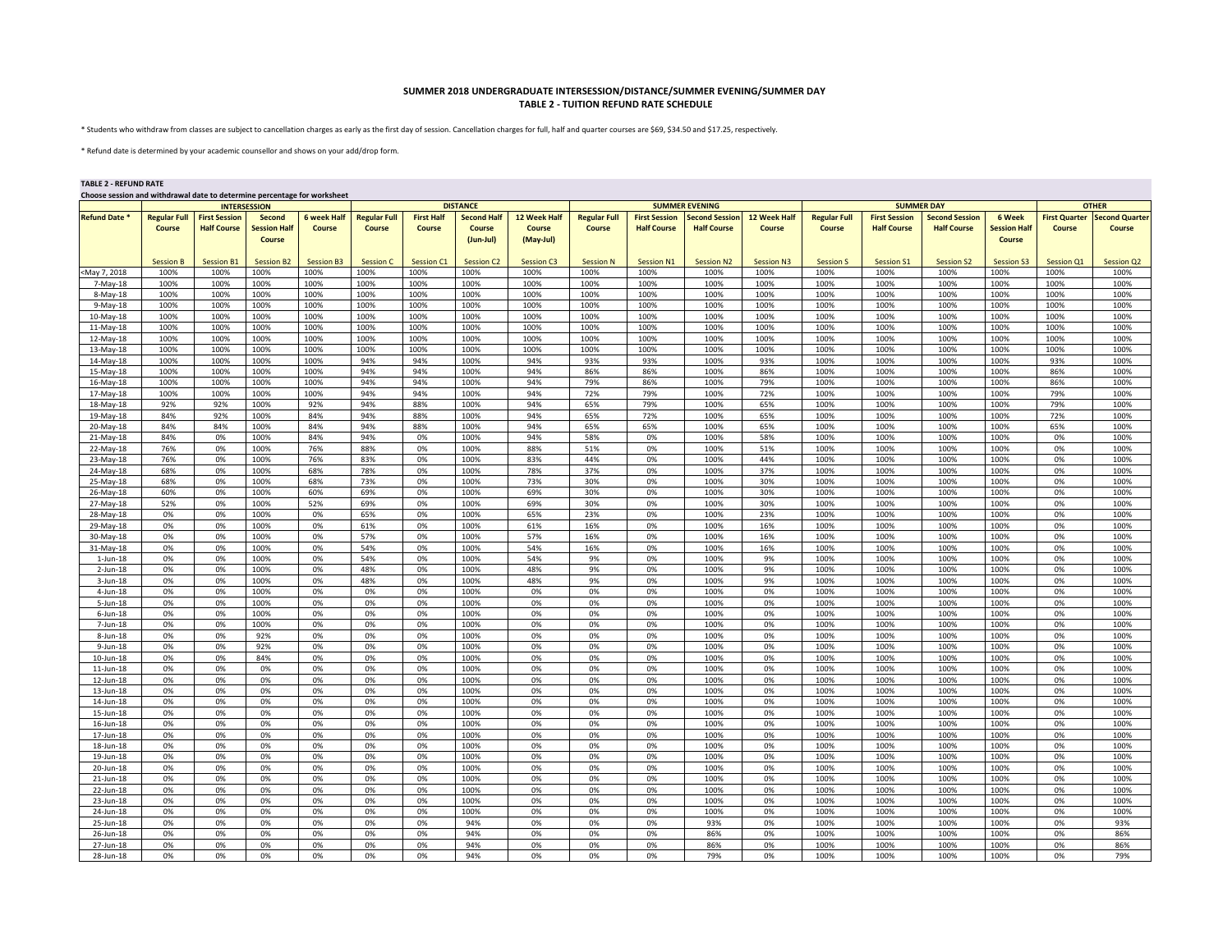## **SUMMER 2018 UNDERGRADUATE INTERSESSION/DISTANCE/SUMMER EVENING/SUMMER DAY TABLE 2 - TUITION REFUND RATE SCHEDULE**

\* Students who withdraw from classes are subject to cancellation charges as early as the first day of session. Cancellation charges for full, half and quarter courses are \$69, \$34.50 and \$17.25, respectively.

\* Refund date is determined by your academic counsellor and shows on your add/drop form.

## **TABLE 2 - REFUND RATE**

| Choose session and withdrawal date to determine percentage for worksheet |  |
|--------------------------------------------------------------------------|--|
|                                                                          |  |

|                      | <b>INTERSESSION</b> |                      |                     |                    |                     |                   | <b>DISTANCE</b>    |                   | <b>SUMMER EVENING</b> |                      |                       |                   |                     | <b>SUMMER DAY</b>    | <b>OTHER</b>          |                     |                      |                       |
|----------------------|---------------------|----------------------|---------------------|--------------------|---------------------|-------------------|--------------------|-------------------|-----------------------|----------------------|-----------------------|-------------------|---------------------|----------------------|-----------------------|---------------------|----------------------|-----------------------|
| <b>Refund Date *</b> | <b>Regular Full</b> | <b>First Session</b> | <b>Second</b>       | <b>6 week Half</b> | <b>Regular Full</b> | <b>First Half</b> | <b>Second Half</b> | 12 Week Half      | <b>Regular Full</b>   | <b>First Session</b> | <b>Second Session</b> | 12 Week Half      | <b>Regular Full</b> | <b>First Session</b> | <b>Second Session</b> | 6 Week              | <b>First Quarter</b> | <b>Second Quarter</b> |
|                      | Course              | <b>Half Course</b>   | <b>Session Half</b> | Course             | Course              | Course            | <b>Course</b>      | <b>Course</b>     | Course                | <b>Half Course</b>   | <b>Half Course</b>    | Course            | Course              | <b>Half Course</b>   | <b>Half Course</b>    | <b>Session Half</b> | Course               | Course                |
|                      |                     |                      |                     |                    |                     |                   |                    |                   |                       |                      |                       |                   |                     |                      |                       |                     |                      |                       |
|                      |                     |                      | Course              |                    |                     |                   | $(Jun-Jul)$        | (May-Jul)         |                       |                      |                       |                   |                     |                      |                       | Course              |                      |                       |
|                      |                     |                      |                     |                    |                     |                   |                    |                   |                       |                      |                       |                   |                     |                      |                       |                     |                      |                       |
|                      | <b>Session B</b>    | <b>Session B1</b>    | <b>Session B2</b>   | <b>Session B3</b>  | <b>Session C</b>    | Session C1        | <b>Session C2</b>  | <b>Session C3</b> | <b>Session N</b>      | <b>Session N1</b>    | <b>Session N2</b>     | <b>Session N3</b> | <b>Session S</b>    | <b>Session S1</b>    | <b>Session S2</b>     | <b>Session S3</b>   | Session Q1           | <b>Session Q2</b>     |
| May 7, 2018          | 100%                | 100%                 | 100%                | 100%               | 100%                | 100%              | 100%               | 100%              | 100%                  | 100%                 | 100%                  | 100%              | 100%                | 100%                 | 100%                  | 100%                | 100%                 | 100%                  |
|                      | 100%                | 100%                 | 100%                | 100%               | 100%                | 100%              | 100%               | 100%              | 100%                  | 100%                 | 100%                  | 100%              | 100%                |                      | 100%                  | 100%                | 100%                 | 100%                  |
| 7-May-18             |                     |                      |                     |                    |                     |                   |                    |                   |                       |                      |                       |                   |                     | 100%                 |                       |                     |                      |                       |
| 8-May-18             | 100%                | 100%                 | 100%                | 100%               | 100%                | 100%              | 100%               | 100%              | 100%                  | 100%                 | 100%                  | 100%              | 100%                | 100%                 | 100%                  | 100%                | 100%                 | 100%                  |
| 9-May-18             | 100%                | 100%                 | 100%                | 100%               | 100%                | 100%              | 100%               | 100%              | 100%                  | 100%                 | 100%                  | 100%              | 100%                | 100%                 | 100%                  | 100%                | 100%                 | 100%                  |
| 10-May-18            | 100%                | 100%                 | 100%                | 100%               | 100%                | 100%              | 100%               | 100%              | 100%                  | 100%                 | 100%                  | 100%              | 100%                | 100%                 | 100%                  | 100%                | 100%                 | 100%                  |
| 11-May-18            | 100%                | 100%                 | 100%                | 100%               | 100%                | 100%              | 100%               | 100%              | 100%                  | 100%                 | 100%                  | 100%              | 100%                | 100%                 | 100%                  | 100%                | 100%                 | 100%                  |
|                      |                     |                      |                     |                    |                     |                   |                    |                   |                       |                      |                       |                   |                     |                      |                       |                     |                      |                       |
| 12-May-18            | 100%                | 100%                 | 100%                | 100%               | 100%                | 100%              | 100%               | 100%              | 100%                  | 100%                 | 100%                  | 100%              | 100%                | 100%                 | 100%                  | 100%                | 100%                 | 100%                  |
| 13-May-18            | 100%                | 100%                 | 100%                | 100%               | 100%                | 100%              | 100%               | 100%              | 100%                  | 100%                 | 100%                  | 100%              | 100%                | 100%                 | 100%                  | 100%                | 100%                 | 100%                  |
| 14-May-18            | 100%                | 100%                 | 100%                | 100%               | 94%                 | 94%               | 100%               | 94%               | 93%                   | 93%                  | 100%                  | 93%               | 100%                | 100%                 | 100%                  | 100%                | 93%                  | 100%                  |
| 15-May-18            | 100%                | 100%                 | 100%                | 100%               | 94%                 | 94%               | 100%               | 94%               | 86%                   | 86%                  | 100%                  | 86%               | 100%                | 100%                 | 100%                  | 100%                | 86%                  | 100%                  |
|                      | 100%                | 100%                 | 100%                | 100%               | 94%                 | 94%               | 100%               | 94%               | 79%                   | 86%                  | 100%                  | 79%               | 100%                | 100%                 | 100%                  | 100%                | 86%                  | 100%                  |
| 16-May-18            |                     |                      |                     |                    |                     |                   |                    |                   |                       |                      |                       |                   |                     |                      |                       |                     |                      |                       |
| 17-May-18            | 100%                | 100%                 | 100%                | 100%               | 94%                 | 94%               | 100%               | 94%               | 72%                   | 79%                  | 100%                  | 72%               | 100%                | 100%                 | 100%                  | 100%                | 79%                  | 100%                  |
| 18-May-18            | 92%                 | 92%                  | 100%                | 92%                | 94%                 | 88%               | 100%               | 94%               | 65%                   | 79%                  | 100%                  | 65%               | 100%                | 100%                 | 100%                  | 100%                | 79%                  | 100%                  |
| 19-May-18            | 84%                 | 92%                  | 100%                | 84%                | 94%                 | 88%               | 100%               | 94%               | 65%                   | 72%                  | 100%                  | 65%               | 100%                | 100%                 | 100%                  | 100%                | 72%                  | 100%                  |
| 20-May-18            | 84%                 | 84%                  | 100%                | 84%                | 94%                 | 88%               | 100%               | 94%               | 65%                   | 65%                  | 100%                  | 65%               | 100%                | 100%                 | 100%                  | 100%                | 65%                  | 100%                  |
|                      | 84%                 | 0%                   | 100%                | 84%                | 94%                 | 0%                | 100%               | 94%               | 58%                   | 0%                   | 100%                  | 58%               | 100%                | 100%                 | 100%                  | 100%                | 0%                   | 100%                  |
| 21-May-18            |                     |                      |                     |                    |                     |                   |                    |                   |                       |                      |                       |                   |                     |                      |                       |                     |                      |                       |
| 22-May-18            | 76%                 | 0%                   | 100%                | 76%                | 88%                 | 0%                | 100%               | 88%               | 51%                   | 0%                   | 100%                  | 51%               | 100%                | 100%                 | 100%                  | 100%                | 0%                   | 100%                  |
| 23-May-18            | 76%                 | 0%                   | 100%                | 76%                | 83%                 | 0%                | 100%               | 83%               | 44%                   | 0%                   | 100%                  | 44%               | 100%                | 100%                 | 100%                  | 100%                | 0%                   | 100%                  |
| 24-May-18            | 68%                 | 0%                   | 100%                | 68%                | 78%                 | 0%                | 100%               | 78%               | 37%                   | 0%                   | 100%                  | 37%               | 100%                | 100%                 | 100%                  | 100%                | 0%                   | 100%                  |
| 25-May-18            | 68%                 | 0%                   | 100%                | 68%                | 73%                 | 0%                | 100%               | 73%               | 30%                   | 0%                   | 100%                  | 30%               | 100%                | 100%                 | 100%                  | 100%                | 0%                   | 100%                  |
|                      | 60%                 | 0%                   | 100%                | 60%                | 69%                 | 0%                | 100%               | 69%               | 30%                   | 0%                   | 100%                  | 30%               | 100%                | 100%                 | 100%                  | 100%                | 0%                   | 100%                  |
| 26-May-18            |                     |                      |                     |                    |                     |                   |                    |                   |                       |                      |                       |                   |                     |                      |                       |                     |                      |                       |
| 27-May-18            | 52%                 | 0%                   | 100%                | 52%                | 69%                 | 0%                | 100%               | 69%               | 30%                   | 0%                   | 100%                  | 30%               | 100%                | 100%                 | 100%                  | 100%                | 0%                   | 100%                  |
| 28-May-18            | 0%                  | 0%                   | 100%                | 0%                 | 65%                 | 0%                | 100%               | 65%               | 23%                   | 0%                   | 100%                  | 23%               | 100%                | 100%                 | 100%                  | 100%                | 0%                   | 100%                  |
| 29-May-18            | 0%                  | 0%                   | 100%                | 0%                 | 61%                 | 0%                | 100%               | 61%               | 16%                   | 0%                   | 100%                  | 16%               | 100%                | 100%                 | 100%                  | 100%                | 0%                   | 100%                  |
| 30-May-18            | 0%                  | 0%                   | 100%                | 0%                 | 57%                 | 0%                | 100%               | 57%               | 16%                   | 0%                   | 100%                  | 16%               | 100%                | 100%                 | 100%                  | 100%                | 0%                   | 100%                  |
|                      |                     |                      |                     |                    |                     |                   |                    |                   |                       |                      |                       |                   |                     |                      |                       |                     |                      | 100%                  |
| 31-May-18            | 0%                  | 0%                   | 100%                | 0%                 | 54%                 | 0%                | 100%               | 54%               | 16%                   | 0%                   | 100%                  | 16%               | 100%                | 100%                 | 100%                  | 100%                | 0%                   |                       |
| 1-Jun-18             | 0%                  | 0%                   | 100%                | 0%                 | 54%                 | 0%                | 100%               | 54%               | 9%                    | 0%                   | 100%                  | 9%                | 100%                | 100%                 | 100%                  | 100%                | 0%                   | 100%                  |
| 2-Jun-18             | 0%                  | 0%                   | 100%                | 0%                 | 48%                 | 0%                | 100%               | 48%               | 9%                    | 0%                   | 100%                  | 9%                | 100%                | 100%                 | 100%                  | 100%                | 0%                   | 100%                  |
| $3$ -Jun-18          | 0%                  | 0%                   | 100%                | 0%                 | 48%                 | 0%                | 100%               | 48%               | 9%                    | 0%                   | 100%                  | 9%                | 100%                | 100%                 | 100%                  | 100%                | 0%                   | 100%                  |
| $4$ -Jun-18          | 0%                  | 0%                   | 100%                | 0%                 | 0%                  | 0%                | 100%               | 0%                | 0%                    | 0%                   | 100%                  | 0%                | 100%                | 100%                 | 100%                  | 100%                | 0%                   | 100%                  |
|                      | 0%                  | 0%                   | 100%                | 0%                 | 0%                  | 0%                | 100%               | 0%                | 0%                    | 0%                   | 100%                  | 0%                | 100%                | 100%                 | 100%                  | 100%                | 0%                   | 100%                  |
| 5-Jun-18             |                     |                      |                     |                    |                     |                   |                    |                   |                       |                      |                       |                   |                     |                      |                       |                     |                      |                       |
| $6$ -Jun-18          | 0%                  | 0%                   | 100%                | 0%                 | 0%                  | 0%                | 100%               | 0%                | 0%                    | 0%                   | 100%                  | 0%                | 100%                | 100%                 | 100%                  | 100%                | 0%                   | 100%                  |
| 7-Jun-18             | 0%                  | 0%                   | 100%                | 0%                 | 0%                  | 0%                | 100%               | 0%                | 0%                    | 0%                   | 100%                  | 0%                | 100%                | 100%                 | 100%                  | 100%                | 0%                   | 100%                  |
| 8-Jun-18             | 0%                  | 0%                   | 92%                 | 0%                 | 0%                  | 0%                | 100%               | 0%                | 0%                    | 0%                   | 100%                  | 0%                | 100%                | 100%                 | 100%                  | 100%                | 0%                   | 100%                  |
| $9$ -Jun-18          | 0%                  | 0%                   | 92%                 | 0%                 | 0%                  | 0%                | 100%               | 0%                | 0%                    | 0%                   | 100%                  | 0%                | 100%                | 100%                 | 100%                  | 100%                | 0%                   | 100%                  |
|                      |                     |                      |                     |                    |                     |                   |                    |                   |                       |                      |                       |                   |                     |                      |                       |                     |                      |                       |
| 10-Jun-18            | 0%                  | 0%                   | 84%                 | 0%                 | 0%                  | 0%                | 100%               | 0%                | 0%                    | 0%                   | 100%                  | 0%                | 100%                | 100%                 | 100%                  | 100%                | 0%                   | 100%                  |
| 11-Jun-18            | 0%                  | 0%                   | 0%                  | 0%                 | 0%                  | 0%                | 100%               | 0%                | 0%                    | 0%                   | 100%                  | 0%                | 100%                | 100%                 | 100%                  | 100%                | 0%                   | 100%                  |
| 12-Jun-18            | 0%                  | 0%                   | 0%                  | 0%                 | 0%                  | 0%                | 100%               | 0%                | 0%                    | 0%                   | 100%                  | 0%                | 100%                | 100%                 | 100%                  | 100%                | 0%                   | 100%                  |
| 13-Jun-18            | 0%                  | 0%                   | 0%                  | 0%                 | 0%                  | 0%                | 100%               | 0%                | 0%                    | 0%                   | 100%                  | 0%                | 100%                | 100%                 | 100%                  | 100%                | 0%                   | 100%                  |
| 14-Jun-18            | 0%                  | 0%                   | 0%                  | 0%                 | 0%                  | 0%                | 100%               | 0%                | 0%                    | 0%                   | 100%                  | 0%                | 100%                | 100%                 | 100%                  | 100%                | 0%                   | 100%                  |
|                      |                     |                      |                     |                    |                     |                   |                    |                   |                       |                      |                       |                   |                     |                      |                       |                     |                      |                       |
| 15-Jun-18            | 0%                  | 0%                   | 0%                  | 0%                 | 0%                  | 0%                | 100%               | 0%                | 0%                    | 0%                   | 100%                  | 0%                | 100%                | 100%                 | 100%                  | 100%                | 0%                   | 100%                  |
| 16-Jun-18            | 0%                  | 0%                   | 0%                  | 0%                 | 0%                  | 0%                | 100%               | 0%                | 0%                    | 0%                   | 100%                  | 0%                | 100%                | 100%                 | 100%                  | 100%                | 0%                   | 100%                  |
| 17-Jun-18            | 0%                  | 0%                   | 0%                  | 0%                 | 0%                  | 0%                | 100%               | 0%                | 0%                    | 0%                   | 100%                  | 0%                | 100%                | 100%                 | 100%                  | 100%                | 0%                   | 100%                  |
| 18-Jun-18            | 0%                  | 0%                   | 0%                  | 0%                 | 0%                  | 0%                | 100%               | 0%                | 0%                    | 0%                   | 100%                  | 0%                | 100%                | 100%                 | 100%                  | 100%                | 0%                   | 100%                  |
| 19-Jun-18            | 0%                  | 0%                   | 0%                  | 0%                 | 0%                  | 0%                | 100%               | 0%                | 0%                    | 0%                   | 100%                  | 0%                | 100%                | 100%                 | 100%                  | 100%                | 0%                   | 100%                  |
|                      |                     |                      |                     |                    |                     |                   |                    |                   |                       |                      |                       |                   |                     |                      |                       |                     |                      |                       |
| 20-Jun-18            | 0%                  | 0%                   | 0%                  | 0%                 | 0%                  | 0%                | 100%               | 0%                | 0%                    | 0%                   | 100%                  | 0%                | 100%                | 100%                 | 100%                  | 100%                | 0%                   | 100%                  |
| 21-Jun-18            | 0%                  | 0%                   | 0%                  | 0%                 | 0%                  | 0%                | 100%               | 0%                | 0%                    | 0%                   | 100%                  | 0%                | 100%                | 100%                 | 100%                  | 100%                | 0%                   | 100%                  |
| 22-Jun-18            | 0%                  | 0%                   | 0%                  | 0%                 | 0%                  | 0%                | 100%               | 0%                | 0%                    | 0%                   | 100%                  | 0%                | 100%                | 100%                 | 100%                  | 100%                | 0%                   | 100%                  |
| 23-Jun-18            | 0%                  | 0%                   | 0%                  | 0%                 | 0%                  | 0%                | 100%               | 0%                | 0%                    | 0%                   | 100%                  | 0%                | 100%                | 100%                 | 100%                  | 100%                | 0%                   | 100%                  |
| 24-Jun-18            | 0%                  | 0%                   | 0%                  | 0%                 | 0%                  | 0%                | 100%               | 0%                | 0%                    | 0%                   | 100%                  | 0%                | 100%                | 100%                 | 100%                  | 100%                | 0%                   | 100%                  |
|                      |                     |                      |                     |                    |                     |                   |                    |                   |                       |                      |                       |                   |                     |                      |                       |                     |                      |                       |
| 25-Jun-18            | 0%                  | 0%                   | 0%                  | 0%                 | 0%                  | 0%                | 94%                | 0%                | 0%                    | 0%                   | 93%                   | 0%                | 100%                | 100%                 | 100%                  | 100%                | 0%                   | 93%                   |
| 26-Jun-18            | 0%                  | 0%                   | 0%                  | 0%                 | 0%                  | 0%                | 94%                | 0%                | 0%                    | 0%                   | 86%                   | 0%                | 100%                | 100%                 | 100%                  | 100%                | 0%                   | 86%                   |
| 27-Jun-18            | 0%                  | 0%                   | 0%                  | 0%                 | 0%                  | 0%                | 94%                | 0%                | 0%                    | 0%                   | 86%                   | 0%                | 100%                | 100%                 | 100%                  | 100%                | 0%                   | 86%                   |
| 28-Jun-18            | 0%                  | 0%                   | 0%                  | 0%                 | 0%                  | 0%                | 94%                | 0%                | 0%                    | 0%                   | 79%                   | 0%                | 100%                | 100%                 | 100%                  | 100%                | 0%                   | 79%                   |